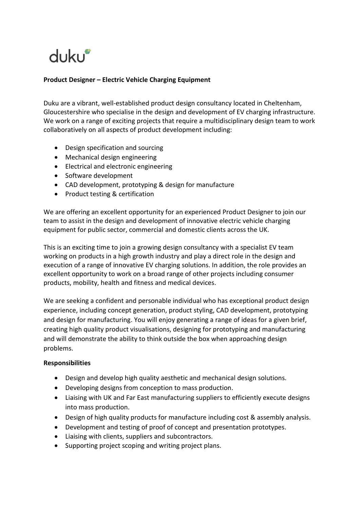# dukur

## **Product Designer – Electric Vehicle Charging Equipment**

Duku are a vibrant, well-established product design consultancy located in Cheltenham, Gloucestershire who specialise in the design and development of EV charging infrastructure. We work on a range of exciting projects that require a multidisciplinary design team to work collaboratively on all aspects of product development including:

- Design specification and sourcing
- Mechanical design engineering
- Electrical and electronic engineering
- Software development
- CAD development, prototyping & design for manufacture
- Product testing & certification

We are offering an excellent opportunity for an experienced Product Designer to join our team to assist in the design and development of innovative electric vehicle charging equipment for public sector, commercial and domestic clients across the UK.

This is an exciting time to join a growing design consultancy with a specialist EV team working on products in a high growth industry and play a direct role in the design and execution of a range of innovative EV charging solutions. In addition, the role provides an excellent opportunity to work on a broad range of other projects including consumer products, mobility, health and fitness and medical devices.

We are seeking a confident and personable individual who has exceptional product design experience, including concept generation, product styling, CAD development, prototyping and design for manufacturing. You will enjoy generating a range of ideas for a given brief, creating high quality product visualisations, designing for prototyping and manufacturing and will demonstrate the ability to think outside the box when approaching design problems.

#### **Responsibilities**

- Design and develop high quality aesthetic and mechanical design solutions.
- Developing designs from conception to mass production.
- Liaising with UK and Far East manufacturing suppliers to efficiently execute designs into mass production.
- Design of high quality products for manufacture including cost & assembly analysis.
- Development and testing of proof of concept and presentation prototypes.
- Liaising with clients, suppliers and subcontractors.
- Supporting project scoping and writing project plans.